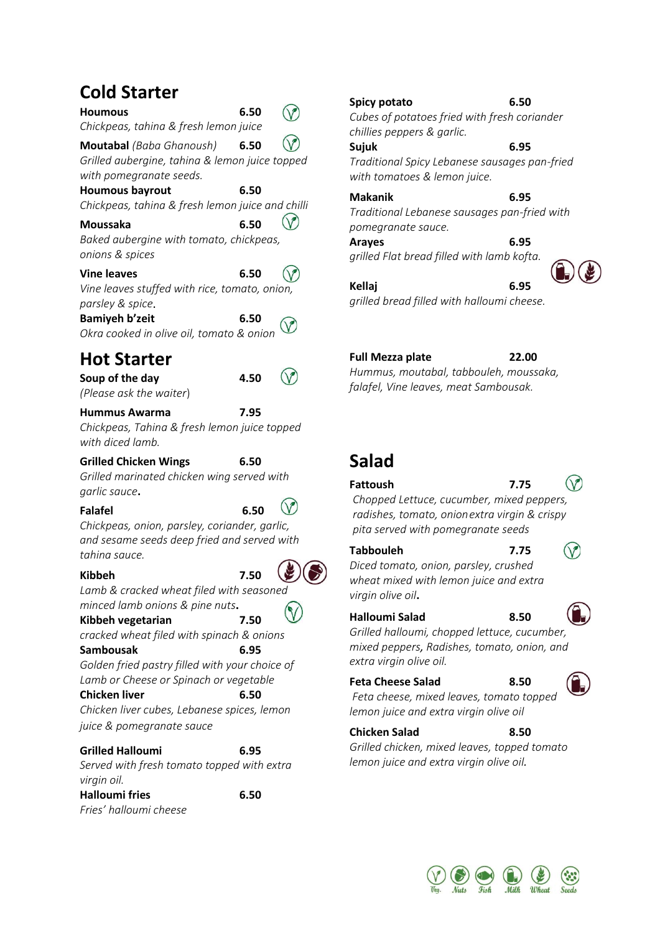# **Cold Starter**

| Houmous                                                                                                      | 6.50 |  |
|--------------------------------------------------------------------------------------------------------------|------|--|
| Chickpeas, tahina & fresh lemon juice                                                                        |      |  |
| <b>Moutabal</b> (Baba Ghanoush)<br>Grilled aubergine, tahina & lemon juice topped<br>with pomegranate seeds. | 6.50 |  |
| <b>Houmous bayrout</b>                                                                                       | 6.50 |  |
| Chickpeas, tahina & fresh lemon juice and chilli                                                             |      |  |
| Moussaka                                                                                                     | 6.50 |  |
| Baked aubergine with tomato, chickpeas,<br>onions & spices                                                   |      |  |
| <b>Vine leaves</b>                                                                                           | 6.50 |  |
| Vine leaves stuffed with rice, tomato, onion,<br>parsley & spice.                                            |      |  |
| <b>Bamiyeh b'zeit</b>                                                                                        | 6.50 |  |
| Okra cooked in olive oil, tomato & onion                                                                     |      |  |
| <b>Hot Starter</b>                                                                                           |      |  |
| Soup of the day                                                                                              | 4.50 |  |
| (Please ask the waiter)                                                                                      |      |  |
| Hummus Awarma                                                                                                | 7.95 |  |
| Chickpeas, Tahina & fresh lemon juice topped                                                                 |      |  |

*Chickpeas, Tahina & fresh lemon juice topped with diced lamb.*

#### **Grilled Chicken Wings 6.50**

*Grilled marinated chicken wing served with garlic sauce***.**

**Falafel 6.50**

*Chickpeas, onion, parsley, coriander, garlic, and sesame seeds deep fried and served with tahina sauce.*

#### **Kibbeh 7.50**

*Lamb & cracked wheat filed with seasoned minced lamb onions & pine nuts***.**

## **Kibbeh vegetarian 7.50**

*cracked wheat filed with spinach & onions* **Sambousak 6.95**

*Golden fried pastry filled with your choice of Lamb or Cheese or Spinach or vegetable* 

**Chicken liver 6.50**

*Chicken liver cubes, Lebanese spices, lemon juice & pomegranate sauce* 

## **Grilled Halloumi 6.95**

*Served with fresh tomato topped with extra virgin oil.*

**Halloumi fries 6.50** *Fries' halloumi cheese*

# **Spicy potato 6.50**

*Cubes of potatoes fried with fresh coriander chillies peppers & garlic.*

**Sujuk****6.95**

*Traditional Spicy Lebanese sausages pan-fried with tomatoes & lemon juice.*

### **Makanik****6.95**

*Traditional Lebanese sausages pan-fried with pomegranate sauce.*

**Arayes 6.95** *grilled Flat bread filled with lamb kofta.*

**Kellaj 6.95** *grilled bread filled with halloumi cheese.*

## **Full Mezza plate 22.00**

*Hummus, moutabal, tabbouleh, moussaka, falafel, Vine leaves, meat Sambousak.*

# **Salad**

#### **Fattoush 7.75**

 $\circledcirc$ 

*Chopped Lettuce, cucumber, mixed peppers, radishes, tomato, onionextra virgin & crispy pita served with pomegranate seeds*

#### **Tabbouleh 7.75**

# $\bigcirc$

*Diced tomato, onion, parsley, crushed wheat mixed with lemon juice and extra virgin olive oil***.**

## **Halloumi Salad 8.50**

*Grilled halloumi, chopped lettuce, cucumber, mixed peppers, Radishes, tomato, onion, and extra virgin olive oil.*

## **Feta Cheese Salad 8.50**

*Feta cheese, mixed leaves, tomato topped lemon juice and extra virgin olive oil*

## **Chicken Salad 8.50**

*Grilled chicken, mixed leaves, topped tomato lemon juice and extra virgin olive oil.*